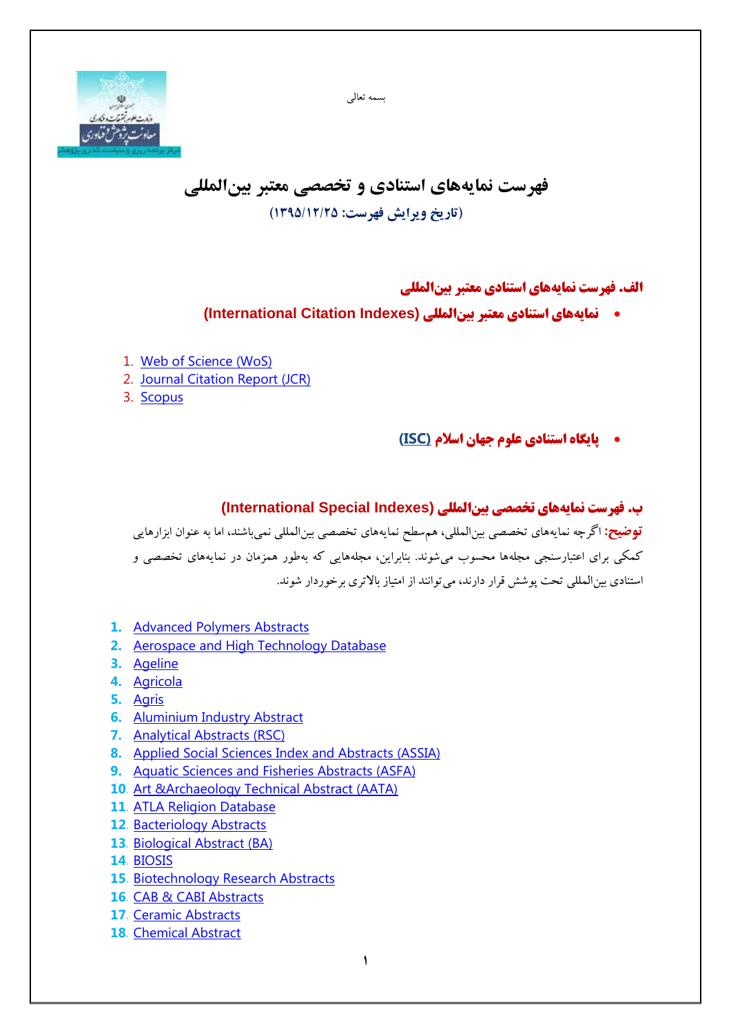بسمه تعالی



## **فهرست نمایههای استنادی و تخصصی معتبر بینالمللی )تاریخ ویرایش فهرست: 1395/12/25(**

## **الف. فهرست نمایههای استنادی معتبر بینالمللی**

- **نمایههای استنادی معتبر بینالمللی (Indexes Citation International(**
- 1. [Web of Science \(WoS\)](http://www.isiknowledge.com/)
- 2. [Journal Citation Report \(JCR\)](http://www.isiknowledge.com/)
- 3. [Scopus](http://www.scopus.com/)

**پایگاه استنادی علوم جهان اسالم [\(ISC\(](http://isc.gov.ir/Default.aspx?lan=fa)**

**ب. فهرست نمایههای تخصصی بینالمللی (Indexes Special International( توضیح:** اگرچه نمایههای تخصصی بینالمللی، همسطح نمایههای تخصصی بینالمللی نمیباشند، اما به عنوان ابزارهایی کمکی برای اعتبارسنجی مجلهها محسوب میشوند. بنابراین، مجلههایی که بهطور همزمان در نمایههای تخصصی و استنادی بین المللی تحت پوشش قرار دارند، می توانند از امتیاز بالاتری برخوردار شوند.

- **1.** [Advanced Polymers Abstracts](http://ieeexplore.ieee.org/xpl/login.jsp?tp=&arnumber=5616370&url=http%3A%2F%2Fieeexplore.ieee.org%2Fxpls%2Fabs_all.jsp%3Farnumber%3D5616370)
- **2.** [Aerospace and High Technology Database](http://search.proquest.com/aerospace/advanced?accountid=14748)
- **3.** [Ageline](http://www.ebscohost.com/academic/ageline)
- **4.** [Agricola](http://www.ebscohost.com/ACADEMIC/agricola)
- **5.** [Agris](http://agris.fao.org/agris-search/index.do)
- **6.** [Aluminium Industry Abstract](http://www.proquest.com/products-services/materials_science.html)
- **7.** [Analytical Abstracts](http://www.rsc.org/) (RSC)
- **8.** [Applied Social Sciences Index and Abstracts](http://www.proquest.com/products-services/ASSIA-Applied-Social-Sciences-Index-and-Abstracts.html) (ASSIA)
- **9.** [Aquatic Sciences and Fisheries Abstracts](http://www.proquest.com/products-services/aquatic_science.html) (ASFA)
- **10.** [Art &Archaeology Technical Abstract \(AATA\)](http://aata.getty.edu/Home)
- **11.** [ATLA Religion Database](http://www.ebscohost.com/academic/atla-religion-database)
- **12.** [Bacteriology Abstracts](http://search.proquest.com/microbiologyb)
- **13.** [Biological Abstract](http://thomsonreuters.com/biological-abstracts/) (BA)
- **14.** [BIOSIS](https://sub3.webofknowledge.com/error/Error?PathInfo=%2F&Alias=WOK5&Domain=.webofknowledge.com&Src=IP&RouterURL=https%3A%2F%2Fwww.webofknowledge.com%2F&Error=IPError)
- **15.** [Biotechnology Research Abstracts](http://search.proquest.com/biotechresearch/advanced?accountid=14826)
- **16.** [CAB & CABI Abstracts](https://sub3.webofknowledge.com/error/Error?PathInfo=%2F&Alias=WOK5&Domain=.webofknowledge.com&Src=IP&RouterURL=https%3A%2F%2Fwww.webofknowledge.com%2F&Error=IPError)
- **17.** [Ceramic Abstracts](http://www.proquest.com/products-services/materials_science.html)
- **18.** [Chemical Abstract](http://www.cas.org/)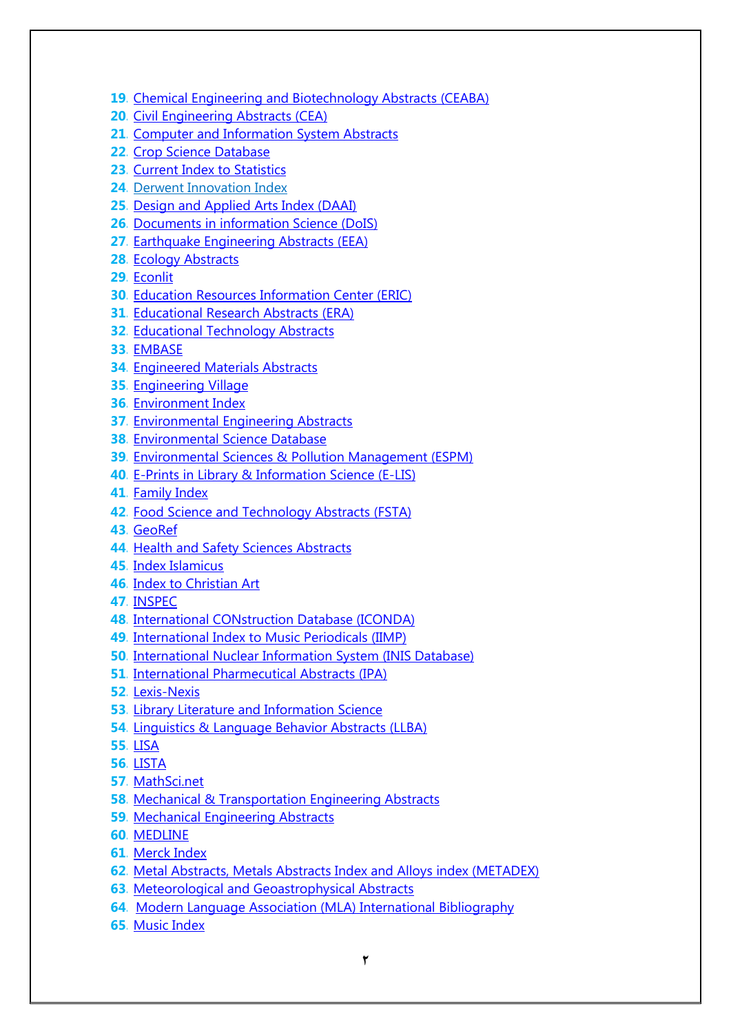- **19.** [Chemical Engineering and Biotechnology Abstracts \(CEABA\)](http://www.proquest.com/products-services/ProQuest-Dialog.html)
- **20.** [Civil Engineering Abstracts \(CEA\)](http://search.proquest.com/civilengineering?accountid=27303)
- **21.** [Computer and Information System Abstracts](http://search.proquest.com/computerinfo)
- **22.** [Crop Science Database](http://www.cabi.org/publishing-products/online-information-resources/crop-science-database/)
- **23.** [Current Index to Statistics](https://www.statindex.org/)
- **24.** [Derwent Innovation Index](https://sub3.webofknowledge.com/error/Error?PathInfo=%2F&Alias=WOK5&Domain=.webofknowledge.com&Src=IP&RouterURL=https%3A%2F%2Fwww.webofknowledge.com%2F&Error=IPError)
- **25.** [Design and Applied Arts Index \(DAAI\)](http://www.proquest.com/products-services/daai-set-c.html)
- **26.** [Documents in information Science](http://eprints.rclis.org/5606/) (DoIS)
- **27.** [Earthquake Engineering Abstracts](http://search.proquest.com/earthquake) (EEA)
- **28.** [Ecology Abstracts](http://www.journals.elsevier.com/ecological-abstracts/)
- **29.** [Econlit](http://www.ebscohost.com/ACADEMIC/econlit)
- **30.** [Education Resources Information Center](http://eric.ed.gov/) (ERIC)
- **31.** [Educational Research Abstracts \(ERA\)](http://www.tandfonline.com/db/era#.VMjnICx5et8)
- **32.** [Educational Technology Abstracts](http://taylorandfrancisgroup.com/)
- **33.** [EMBASE](http://www.elsevier.com/online-tools/embase)
- **34.** [Engineered Materials Abstracts](http://search.proquest.com/engineeringmaterialsabstracts)
- **35.** [Engineering Village](http://www.engineeringvillage.com/home.url?acw=&utt=)
- **36.** [Environment Index](http://www.ebscohost.com/ACADEMIC/environment-index)
- **37.** [Environmental Engineering Abstracts](http://search.proquest.com/environmentalengabstracts)
- **38.** [Environmental Science Database](http://www.proquest.com/products-services/environmental_sci.html)
- **39.** [Environmental Sciences & Pollution Management \(ESPM\)](http://search.proquest.com/espm/advanced?accountid=14505)
- **40.** [E-Prints in Library & Information Science \(E-LIS\)](http://eprints.rclis.org/)
- **41.** [Family Index](http://www.familyindex.net/)
- **42.** [Food Science and Technology Abstracts](http://www.ifis.org/fsta/) (FSTA)
- **43.** [GeoRef](https://www.americangeosciences.org/georef/about-georef-database)
- **44.** [Health and Safety Sciences Abstracts](http://search.proquest.com/healthsafetyabstracts)
- **45.** [Index Islamicus](http://www.proquest.com/products-services/islamicus-set-c.html)
- **46.** [Index to Christian Art](http://ica.princeton.edu/)
- **47.** [INSPEC](http://thomsonreuters.com/inspec/)
- **48.** [International CONstruction Database \(ICONDA\)](http://ovidsupport.custhelp.com/app/answers/detail/a_id/1873/~/list-of-journals-indexed-in-the-iconda-database)
- **49.** [International Index to Music Periodicals \(IIMP\)](http://www.proquest.com/products-services/iimp.html)
- **50.** [International Nuclear Information System \(INIS Database\)](http://www.iaea.org/inis/site-index/index.html)
- **51.** [International Pharmecutical](http://www.proquest.com/products-services/ipa-set-c.html) Abstracts (IPA)
- **52.** [Lexis-Nexis](http://www.lexisnexis.com/en-us/gateway.page)
- **53.** [Library Literature and Information Science](http://www.ebscohost.com/academic/library-literature-information-science-index)
- **54.** [Linguistics & Language Behavior Abstracts \(LLBA\)](http://proquest.libguides.com/llba)
- **55.** [LISA](http://www.proquest.com/products-services/lisa-set-c.html)
- **56.** [LISTA](http://web.a.ebscohost.com/ehost/search/basic?sid=ee2468e8-60a4-45d0-88b0-a9da1a46aba4%40sessionmgr4005&vid=1&hid=4106)
- **57.** [MathSci.net](http://www.ams.org/mathscinet/)
- **58.** [Mechanical & Transportation Engineering Abstracts](http://search.proquest.com/mteabstracts)
- **59.** [Mechanical Engineering Abstracts](http://search.proquest.com/mechanicalengineeringabs/)
- **60.** [MEDLINE](http://www.ncbi.nlm.nih.gov/pubmed)
- **61.** [Merck Index](https://www.rsc.org/merck-index)
- **62.** [Metal Abstracts, Metals Abstracts Index and Alloys index \(METADEX\)](http://search.proquest.com/metadex/advanced?accountid=14826)
- **63.** [Meteorological and Geoastrophysical Abstracts](http://search.proquest.com/mga/advanced/)
- **64.** [Modern Language Association \(MLA\) International Bibliography](https://www.mla.org/Publications/MLA-International-Bibliography/About-the-MLA-International-Bibliography)
- **65.** [Music Index](http://www.ebscohost.com/academic/music-index)